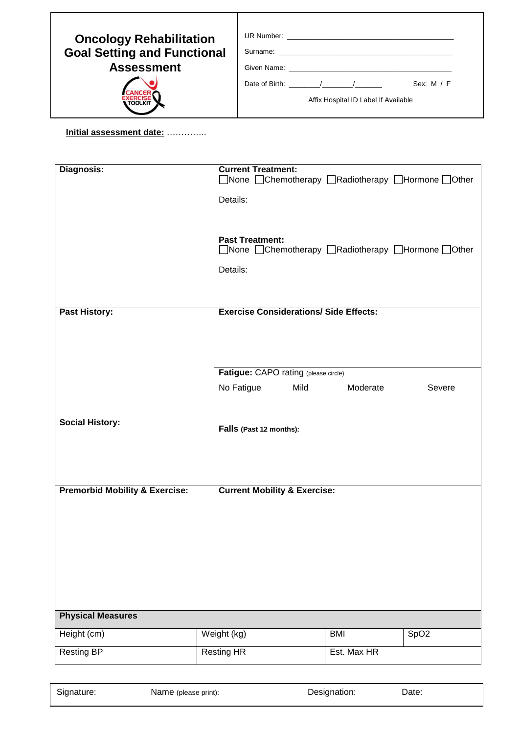| <b>Oncology Rehabilitation</b>     |                                      |              |  |  |  |
|------------------------------------|--------------------------------------|--------------|--|--|--|
| <b>Goal Setting and Functional</b> |                                      |              |  |  |  |
| <b>Assessment</b>                  |                                      |              |  |  |  |
|                                    | Date of Birth: $\frac{1}{2}$ /       | Sex: $M / F$ |  |  |  |
| <b>TOOLKIT</b>                     | Affix Hospital ID Label If Available |              |  |  |  |

## **Initial assessment date:** …………..

| Diagnosis:                                | <b>Current Treatment:</b><br>□None □Chemotherapy □Radiotherapy □Hormone □Other |
|-------------------------------------------|--------------------------------------------------------------------------------|
|                                           | Details:                                                                       |
|                                           |                                                                                |
|                                           | <b>Past Treatment:</b><br>□None □Chemotherapy □Radiotherapy □Hormone □Other    |
|                                           | Details:                                                                       |
|                                           |                                                                                |
| <b>Past History:</b>                      | <b>Exercise Considerations/ Side Effects:</b>                                  |
|                                           |                                                                                |
|                                           |                                                                                |
|                                           | Fatigue: CAPO rating (please circle)                                           |
|                                           | Mild<br>No Fatigue<br>Moderate<br>Severe                                       |
|                                           |                                                                                |
| <b>Social History:</b>                    | Falls (Past 12 months):                                                        |
|                                           |                                                                                |
|                                           |                                                                                |
| <b>Premorbid Mobility &amp; Exercise:</b> | <b>Current Mobility &amp; Exercise:</b>                                        |
|                                           |                                                                                |
|                                           |                                                                                |
|                                           |                                                                                |
|                                           |                                                                                |
|                                           |                                                                                |
| <b>Physical Measures</b>                  |                                                                                |
| Height (cm)                               | Weight (kg)<br><b>BMI</b><br>SpO <sub>2</sub>                                  |
| <b>Resting BP</b>                         | <b>Resting HR</b><br>Est. Max HR                                               |

| Signature: | Name (please print): | Designation: | Date: |
|------------|----------------------|--------------|-------|
|            |                      |              |       |